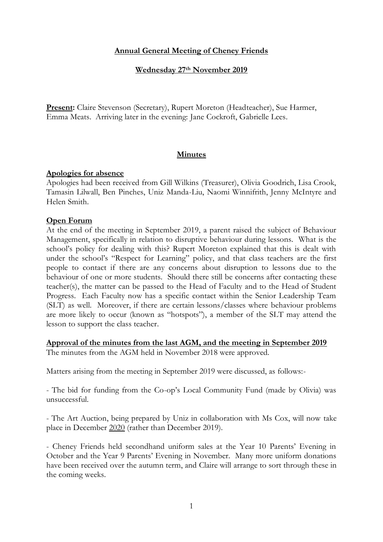## **Annual General Meeting of Cheney Friends**

#### **Wednesday 27th November 2019**

**Present:** Claire Stevenson (Secretary), Rupert Moreton (Headteacher), Sue Harmer, Emma Meats. Arriving later in the evening: Jane Cockroft, Gabrielle Lees.

### **Minutes**

#### **Apologies for absence**

Apologies had been received from Gill Wilkins (Treasurer), Olivia Goodrich, Lisa Crook, Tamasin Lilwall, Ben Pinches, Uniz Manda-Liu, Naomi Winnifrith, Jenny McIntyre and Helen Smith.

### **Open Forum**

At the end of the meeting in September 2019, a parent raised the subject of Behaviour Management, specifically in relation to disruptive behaviour during lessons. What is the school's policy for dealing with this? Rupert Moreton explained that this is dealt with under the school's "Respect for Learning" policy, and that class teachers are the first people to contact if there are any concerns about disruption to lessons due to the behaviour of one or more students. Should there still be concerns after contacting these teacher(s), the matter can be passed to the Head of Faculty and to the Head of Student Progress. Each Faculty now has a specific contact within the Senior Leadership Team (SLT) as well. Moreover, if there are certain lessons/classes where behaviour problems are more likely to occur (known as "hotspots"), a member of the SLT may attend the lesson to support the class teacher.

# **Approval of the minutes from the last AGM, and the meeting in September 2019**

The minutes from the AGM held in November 2018 were approved.

Matters arising from the meeting in September 2019 were discussed, as follows:-

- The bid for funding from the Co-op's Local Community Fund (made by Olivia) was unsuccessful.

- The Art Auction, being prepared by Uniz in collaboration with Ms Cox, will now take place in December 2020 (rather than December 2019).

- Cheney Friends held secondhand uniform sales at the Year 10 Parents' Evening in October and the Year 9 Parents' Evening in November. Many more uniform donations have been received over the autumn term, and Claire will arrange to sort through these in the coming weeks.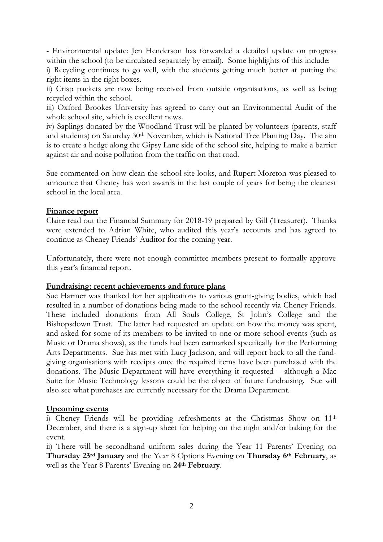- Environmental update: Jen Henderson has forwarded a detailed update on progress within the school (to be circulated separately by email). Some highlights of this include:

i) Recycling continues to go well, with the students getting much better at putting the right items in the right boxes.

ii) Crisp packets are now being received from outside organisations, as well as being recycled within the school.

iii) Oxford Brookes University has agreed to carry out an Environmental Audit of the whole school site, which is excellent news.

iv) Saplings donated by the Woodland Trust will be planted by volunteers (parents, staff and students) on Saturday 30<sup>th</sup> November, which is National Tree Planting Day. The aim is to create a hedge along the Gipsy Lane side of the school site, helping to make a barrier against air and noise pollution from the traffic on that road.

Sue commented on how clean the school site looks, and Rupert Moreton was pleased to announce that Cheney has won awards in the last couple of years for being the cleanest school in the local area.

## **Finance report**

Claire read out the Financial Summary for 2018-19 prepared by Gill (Treasurer). Thanks were extended to Adrian White, who audited this year's accounts and has agreed to continue as Cheney Friends' Auditor for the coming year.

Unfortunately, there were not enough committee members present to formally approve this year's financial report.

### **Fundraising: recent achievements and future plans**

Sue Harmer was thanked for her applications to various grant-giving bodies, which had resulted in a number of donations being made to the school recently via Cheney Friends. These included donations from All Souls College, St John's College and the Bishopsdown Trust. The latter had requested an update on how the money was spent, and asked for some of its members to be invited to one or more school events (such as Music or Drama shows), as the funds had been earmarked specifically for the Performing Arts Departments. Sue has met with Lucy Jackson, and will report back to all the fundgiving organisations with receipts once the required items have been purchased with the donations. The Music Department will have everything it requested – although a Mac Suite for Music Technology lessons could be the object of future fundraising. Sue will also see what purchases are currently necessary for the Drama Department.

### **Upcoming events**

i) Cheney Friends will be providing refreshments at the Christmas Show on 11th December, and there is a sign-up sheet for helping on the night and/or baking for the event.

ii) There will be secondhand uniform sales during the Year 11 Parents' Evening on **Thursday 23rd January** and the Year 8 Options Evening on **Thursday 6th February**, as well as the Year 8 Parents' Evening on **24th February**.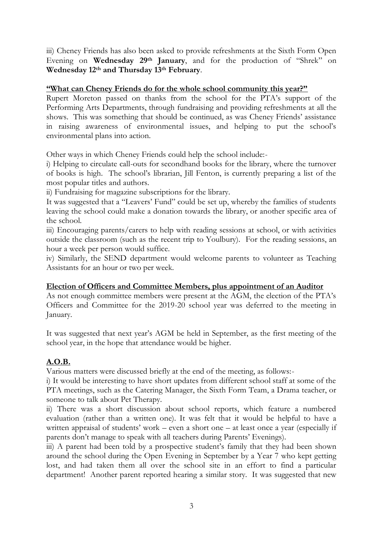iii) Cheney Friends has also been asked to provide refreshments at the Sixth Form Open Evening on **Wednesday 29th January**, and for the production of "Shrek" on **Wednesday 12th and Thursday 13th February**.

### **"What can Cheney Friends do for the whole school community this year?"**

Rupert Moreton passed on thanks from the school for the PTA's support of the Performing Arts Departments, through fundraising and providing refreshments at all the shows. This was something that should be continued, as was Cheney Friends' assistance in raising awareness of environmental issues, and helping to put the school's environmental plans into action.

Other ways in which Cheney Friends could help the school include:-

i) Helping to circulate call-outs for secondhand books for the library, where the turnover of books is high. The school's librarian, Jill Fenton, is currently preparing a list of the most popular titles and authors.

ii) Fundraising for magazine subscriptions for the library.

It was suggested that a "Leavers' Fund" could be set up, whereby the families of students leaving the school could make a donation towards the library, or another specific area of the school.

iii) Encouraging parents/carers to help with reading sessions at school, or with activities outside the classroom (such as the recent trip to Youlbury). For the reading sessions, an hour a week per person would suffice.

iv) Similarly, the SEND department would welcome parents to volunteer as Teaching Assistants for an hour or two per week.

### **Election of Officers and Committee Members, plus appointment of an Auditor**

As not enough committee members were present at the AGM, the election of the PTA's Officers and Committee for the 2019-20 school year was deferred to the meeting in January.

It was suggested that next year's AGM be held in September, as the first meeting of the school year, in the hope that attendance would be higher.

# **A.O.B.**

Various matters were discussed briefly at the end of the meeting, as follows:-

i) It would be interesting to have short updates from different school staff at some of the PTA meetings, such as the Catering Manager, the Sixth Form Team, a Drama teacher, or someone to talk about Pet Therapy.

ii) There was a short discussion about school reports, which feature a numbered evaluation (rather than a written one). It was felt that it would be helpful to have a written appraisal of students' work – even a short one – at least once a year (especially if parents don't manage to speak with all teachers during Parents' Evenings).

iii) A parent had been told by a prospective student's family that they had been shown around the school during the Open Evening in September by a Year 7 who kept getting lost, and had taken them all over the school site in an effort to find a particular department! Another parent reported hearing a similar story. It was suggested that new